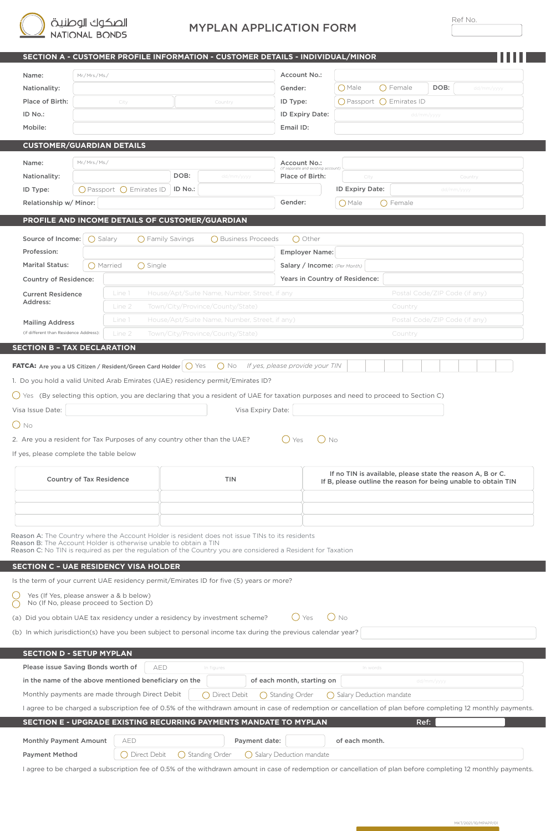# MYPLAN APPLICATION FORM

|                                                                                                                  |                                 |                                          |                          | SECTION A - CUSTOMER PROFILE INFORMATION - CUSTOMER DETAILS - INDIVIDUAL/MINOR                                                                                                                                                                                 |                                                                                                                                               |                                                    |                                                        |                               |                               |  |  |  |  |  |  |
|------------------------------------------------------------------------------------------------------------------|---------------------------------|------------------------------------------|--------------------------|----------------------------------------------------------------------------------------------------------------------------------------------------------------------------------------------------------------------------------------------------------------|-----------------------------------------------------------------------------------------------------------------------------------------------|----------------------------------------------------|--------------------------------------------------------|-------------------------------|-------------------------------|--|--|--|--|--|--|
| Name:                                                                                                            | Mr./Mrs./Ms./                   |                                          |                          |                                                                                                                                                                                                                                                                | Account No.:                                                                                                                                  |                                                    |                                                        |                               |                               |  |  |  |  |  |  |
| Nationality:                                                                                                     |                                 |                                          |                          |                                                                                                                                                                                                                                                                | Gender:                                                                                                                                       |                                                    | () Male                                                | DOB:                          | dd/mm/yyyy                    |  |  |  |  |  |  |
| Place of Birth:                                                                                                  |                                 | City                                     |                          | Country                                                                                                                                                                                                                                                        | ID Type:                                                                                                                                      |                                                    |                                                        | () Female                     |                               |  |  |  |  |  |  |
| ID No.:                                                                                                          |                                 |                                          |                          |                                                                                                                                                                                                                                                                |                                                                                                                                               | ID Expiry Date:                                    | $\bigcap$ Passport $\bigcap$ Emirates ID<br>dd/mm/yyyy |                               |                               |  |  |  |  |  |  |
| Mobile:                                                                                                          |                                 |                                          |                          |                                                                                                                                                                                                                                                                | Email ID:                                                                                                                                     |                                                    |                                                        |                               |                               |  |  |  |  |  |  |
|                                                                                                                  |                                 |                                          |                          |                                                                                                                                                                                                                                                                |                                                                                                                                               |                                                    |                                                        |                               |                               |  |  |  |  |  |  |
| <b>CUSTOMER/GUARDIAN DETAILS</b>                                                                                 |                                 |                                          |                          |                                                                                                                                                                                                                                                                |                                                                                                                                               |                                                    |                                                        |                               |                               |  |  |  |  |  |  |
| Name:                                                                                                            | Mr./Mrs./Ms./                   |                                          |                          |                                                                                                                                                                                                                                                                |                                                                                                                                               | Account No.:<br>(If separate and existing account) |                                                        |                               |                               |  |  |  |  |  |  |
| Nationality:                                                                                                     |                                 |                                          | DOB:                     | dd/mm/yyyy                                                                                                                                                                                                                                                     | Place of Birth:                                                                                                                               |                                                    | City<br>Country                                        |                               |                               |  |  |  |  |  |  |
| ID Type:                                                                                                         |                                 | $\bigcap$ Passport $\bigcap$ Emirates ID | ID No.:                  |                                                                                                                                                                                                                                                                |                                                                                                                                               |                                                    | ID Expiry Date:<br>dd/mm/yyyy                          |                               |                               |  |  |  |  |  |  |
| Relationship w/ Minor:                                                                                           |                                 |                                          |                          |                                                                                                                                                                                                                                                                | Gender:                                                                                                                                       |                                                    | () Male<br>() Female                                   |                               |                               |  |  |  |  |  |  |
|                                                                                                                  |                                 |                                          |                          | PROFILE AND INCOME DETAILS OF CUSTOMER/GUARDIAN                                                                                                                                                                                                                |                                                                                                                                               |                                                    |                                                        |                               |                               |  |  |  |  |  |  |
|                                                                                                                  |                                 |                                          |                          |                                                                                                                                                                                                                                                                |                                                                                                                                               |                                                    |                                                        |                               |                               |  |  |  |  |  |  |
| Source of Income:                                                                                                | $\bigcap$ Salary                |                                          | $\bigcap$ Family Savings | ◯ Business Proceeds                                                                                                                                                                                                                                            |                                                                                                                                               | ◯ Other                                            |                                                        |                               |                               |  |  |  |  |  |  |
| Profession:                                                                                                      |                                 |                                          |                          |                                                                                                                                                                                                                                                                | <b>Employer Name:</b>                                                                                                                         |                                                    |                                                        |                               |                               |  |  |  |  |  |  |
| <b>Marital Status:</b>                                                                                           |                                 | () Married<br>() Single                  |                          |                                                                                                                                                                                                                                                                |                                                                                                                                               | Salary / Income: (Per Month)                       |                                                        |                               |                               |  |  |  |  |  |  |
| <b>Country of Residence:</b>                                                                                     |                                 |                                          |                          |                                                                                                                                                                                                                                                                |                                                                                                                                               |                                                    | Years in Country of Residence:                         |                               |                               |  |  |  |  |  |  |
| <b>Current Residence</b><br>Address:                                                                             |                                 | Line 1                                   |                          | House/Apt/Suite Name, Number, Street, if any                                                                                                                                                                                                                   |                                                                                                                                               |                                                    |                                                        |                               | Postal Code/ZIP Code (if any) |  |  |  |  |  |  |
|                                                                                                                  |                                 | Line 2                                   |                          | Town/City/Province/County/State)                                                                                                                                                                                                                               |                                                                                                                                               |                                                    |                                                        | Country                       |                               |  |  |  |  |  |  |
| <b>Mailing Address</b>                                                                                           |                                 | Line 1                                   |                          | House/Apt/Suite Name, Number, Street, if any)                                                                                                                                                                                                                  |                                                                                                                                               |                                                    |                                                        | Postal Code/ZIP Code (if any) |                               |  |  |  |  |  |  |
| (if different than Residence Address):                                                                           |                                 | Line 2                                   |                          | Town/City/Province/County/State)                                                                                                                                                                                                                               |                                                                                                                                               |                                                    |                                                        | Country                       |                               |  |  |  |  |  |  |
| Visa Issue Date:<br>$\bigcirc$ No<br>If yes, please complete the table below                                     | <b>Country of Tax Residence</b> |                                          |                          | $\bigcirc$ Yes (By selecting this option, you are declaring that you a resident of UAE for taxation purposes and need to proceed to Section C)<br>Visa Expiry Date:<br>2. Are you a resident for Tax Purposes of any country other than the UAE?<br><b>TIN</b> | ( ) Yes<br>No<br>If no TIN is available, please state the reason A, B or C.<br>If B, please outline the reason for being unable to obtain TIN |                                                    |                                                        |                               |                               |  |  |  |  |  |  |
| Reason B: The Account Holder is otherwise unable to obtain a TIN<br><b>SECTION C - UAE RESIDENCY VISA HOLDER</b> |                                 |                                          |                          | Reason A: The Country where the Account Holder is resident does not issue TINs to its residents<br>Reason C: No TIN is required as per the regulation of the Country you are considered a Resident for Taxation                                                |                                                                                                                                               |                                                    |                                                        |                               |                               |  |  |  |  |  |  |
|                                                                                                                  |                                 | Yes (If Yes, please answer a & b below)  |                          | Is the term of your current UAE residency permit/Emirates ID for five (5) years or more?                                                                                                                                                                       |                                                                                                                                               |                                                    |                                                        |                               |                               |  |  |  |  |  |  |
| $\subset$                                                                                                        |                                 | No (If No, please proceed to Section D)  |                          |                                                                                                                                                                                                                                                                |                                                                                                                                               |                                                    |                                                        |                               |                               |  |  |  |  |  |  |
|                                                                                                                  |                                 |                                          |                          | (a) Did you obtain UAE tax residency under a residency by investment scheme?                                                                                                                                                                                   | ( ) Yes                                                                                                                                       |                                                    | () No                                                  |                               |                               |  |  |  |  |  |  |
|                                                                                                                  |                                 |                                          |                          | (b) In which jurisdiction(s) have you been subject to personal income tax during the previous calendar year?                                                                                                                                                   |                                                                                                                                               |                                                    |                                                        |                               |                               |  |  |  |  |  |  |
| <b>SECTION D - SETUP MYPLAN</b>                                                                                  |                                 |                                          |                          |                                                                                                                                                                                                                                                                |                                                                                                                                               |                                                    |                                                        |                               |                               |  |  |  |  |  |  |
| Please issue Saving Bonds worth of                                                                               |                                 |                                          | AED                      | In figures                                                                                                                                                                                                                                                     |                                                                                                                                               |                                                    | In words                                               |                               |                               |  |  |  |  |  |  |
| in the name of the above mentioned beneficiary on the                                                            |                                 |                                          |                          |                                                                                                                                                                                                                                                                | of each month, starting on                                                                                                                    |                                                    |                                                        |                               | dd/mm/yyyy                    |  |  |  |  |  |  |
| Monthly payments are made through Direct Debit                                                                   |                                 |                                          |                          | ◯ Direct Debit                                                                                                                                                                                                                                                 | () Standing Order                                                                                                                             |                                                    | () Salary Deduction mandate                            |                               |                               |  |  |  |  |  |  |
|                                                                                                                  |                                 |                                          |                          | I agree to be charged a subscription fee of 0.5% of the withdrawn amount in case of redemption or cancellation of plan before completing 12 monthly payments.                                                                                                  |                                                                                                                                               |                                                    |                                                        |                               |                               |  |  |  |  |  |  |
|                                                                                                                  |                                 |                                          |                          | SECTION E - UPGRADE EXISTING RECURRING PAYMENTS MANDATE TO MYPLAN                                                                                                                                                                                              |                                                                                                                                               |                                                    |                                                        |                               |                               |  |  |  |  |  |  |
|                                                                                                                  |                                 |                                          |                          |                                                                                                                                                                                                                                                                |                                                                                                                                               |                                                    |                                                        |                               | Ref:                          |  |  |  |  |  |  |
| Monthly Payment Amount                                                                                           |                                 | AED                                      |                          | Payment date:                                                                                                                                                                                                                                                  |                                                                                                                                               |                                                    | of each month.                                         |                               |                               |  |  |  |  |  |  |
| <b>Payment Method</b>                                                                                            |                                 | ( ) Direct Debit                         |                          | ◯ Standing Order                                                                                                                                                                                                                                               | ○ Salary Deduction mandate                                                                                                                    |                                                    |                                                        |                               |                               |  |  |  |  |  |  |
|                                                                                                                  |                                 |                                          |                          | I agree to be charged a subscription fee of 0.5% of the withdrawn amount in case of redemption or cancellation of plan before completing 12 monthly payments.                                                                                                  |                                                                                                                                               |                                                    |                                                        |                               |                               |  |  |  |  |  |  |